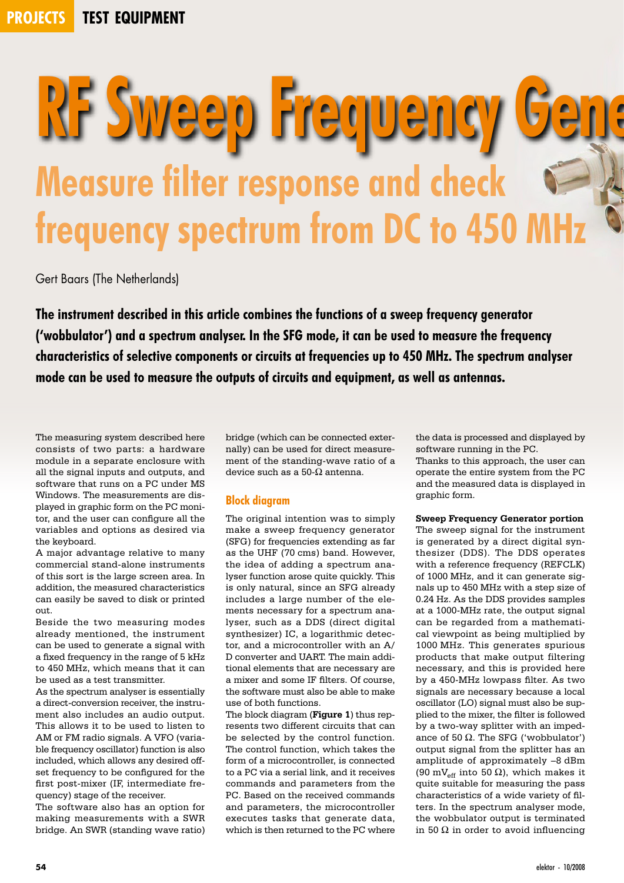# RF Sweep Frequency **Measure filter response and check frequency spectrum from DC to 450 I**

Gert Baars (The Netherlands)

**The instrument described in this article combines the functions of a sweep frequency generator ('wobbulator') and a spectrum analyser. In the SFG mode, it can be used to measure the frequency characteristics of selective components or circuits at frequencies up to 450 MHz. The spectrum analyser mode can be used to measure the outputs of circuits and equipment, as well as antennas.**

The measuring system described here consists of two parts: a hardware module in a separate enclosure with all the signal inputs and outputs, and software that runs on a PC under MS Windows. The measurements are displayed in graphic form on the PC monitor, and the user can configure all the variables and options as desired via the keyboard.

A major advantage relative to many commercial stand-alone instruments of this sort is the large screen area. In addition, the measured characteristics can easily be saved to disk or printed out.

Beside the two measuring modes already mentioned, the instrument can be used to generate a signal with a fixed frequency in the range of 5 kHz to 450 MHz, which means that it can be used as a test transmitter.

As the spectrum analyser is essentially a direct-conversion receiver, the instrument also includes an audio output. This allows it to be used to listen to AM or FM radio signals. A VFO (variable frequency oscillator) function is also included, which allows any desired offset frequency to be configured for the first post-mixer (IF, intermediate frequency) stage of the receiver.

The software also has an option for making measurements with a SWR bridge. An SWR (standing wave ratio)

bridge (which can be connected externally) can be used for direct measurement of the standing-wave ratio of a device such as a 50-Ω antenna.

### **Block diagram**

The original intention was to simply make a sweep frequency generator (SFG) for frequencies extending as far as the UHF (70 cms) band. However, the idea of adding a spectrum analyser function arose quite quickly. This is only natural, since an SFG already includes a large number of the elements necessary for a spectrum analyser, such as a DDS (direct digital synthesizer) IC, a logarithmic detector, and a microcontroller with an A/ D converter and UART. The main additional elements that are necessary are a mixer and some IF filters. Of course, the software must also be able to make use of both functions.

The block diagram (**Figure 1**) thus represents two different circuits that can be selected by the control function. The control function, which takes the form of a microcontroller, is connected to a PC via a serial link, and it receives commands and parameters from the PC. Based on the received commands and parameters, the microcontroller executes tasks that generate data, which is then returned to the PC where

the data is processed and displayed by software running in the PC.

Thanks to this approach, the user can operate the entire system from the PC and the measured data is displayed in graphic form.

**Sweep Frequency Generator portion** The sweep signal for the instrument is generated by a direct digital synthesizer (DDS). The DDS operates with a reference frequency (REFCLK) of 1000 MHz, and it can generate signals up to 450 MHz with a step size of 0.24 Hz. As the DDS provides samples at a 1000-MHz rate, the output signal can be regarded from a mathematical viewpoint as being multiplied by 1000 MHz. This generates spurious products that make output filtering necessary, and this is provided here by a 450-MHz lowpass filter. As two signals are necessary because a local oscillator (LO) signal must also be supplied to the mixer, the filter is followed by a two-way splitter with an impedance of 50  $Ω$ . The SFG ('wobbulator') output signal from the splitter has an amplitude of approximately –8 dBm (90 mV<sub>eff</sub> into 50  $\Omega$ ), which makes it quite suitable for measuring the pass characteristics of a wide variety of filters. In the spectrum analyser mode, the wobbulator output is terminated in 50  $\Omega$  in order to avoid influencing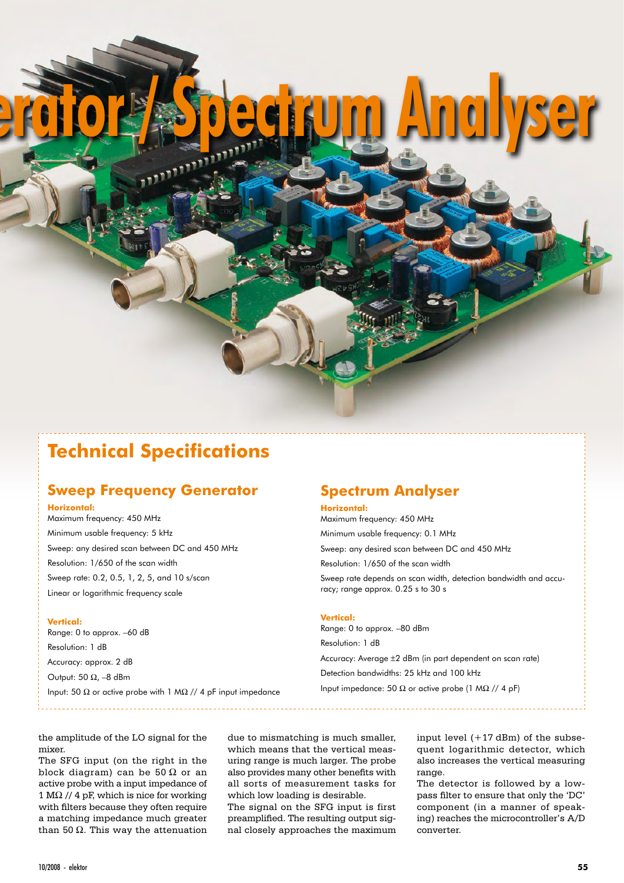**RF Sweep Frequency Generator / Spectrum Analyser**

## **Technical Specifications**

## **Sweep Frequency Generator**

#### **Horizontal:**

Maximum frequency: 450 MHz Minimum usable frequency: 5 kHz Sweep: any desired scan between DC and 450 MHz Resolution: 1/650 of the scan width Sweep rate: 0.2, 0.5, 1, 2, 5, and 10 s/scan Linear or logarithmic frequency scale

#### **Vertical:**

Range: 0 to approx. –60 dB Resolution: 1 dB Accuracy: approx. 2 dB Output: 50  $\Omega$ , -8 dBm Input: 50  $\Omega$  or active probe with 1 M $\Omega$  // 4 pF input impedance

## **Spectrum Analyser**

**Horizontal:** Maximum frequency: 450 MHz

Minimum usable frequency: 0.1 MHz Sweep: any desired scan between DC and 450 MHz Resolution: 1/650 of the scan width Sweep rate depends on scan width, detection bandwidth and accuracy; range approx. 0.25 s to 30 s

#### **Vertical:**

Range: 0 to approx. –80 dBm Resolution: 1 dB Accuracy: Average ±2 dBm (in part dependent on scan rate) Detection bandwidths: 25 kHz and 100 kHz Input impedance: 50  $\Omega$  or active probe (1 M $\Omega$  // 4 pF)

the amplitude of the LO signal for the mixer.

The SFG input (on the right in the block diagram) can be 50  $\Omega$  or an active probe with a input impedance of 1 M $\Omega$  // 4 pF, which is nice for working with filters because they often require a matching impedance much greater than 50  $Ω$ . This way the attenuation

due to mismatching is much smaller, which means that the vertical measuring range is much larger. The probe also provides many other benefits with all sorts of measurement tasks for which low loading is desirable.

The signal on the SFG input is first preamplified. The resulting output signal closely approaches the maximum input level (+17 dBm) of the subsequent logarithmic detector, which also increases the vertical measuring range.

The detector is followed by a lowpass filter to ensure that only the 'DC' component (in a manner of speaking) reaches the microcontroller's A/D converter.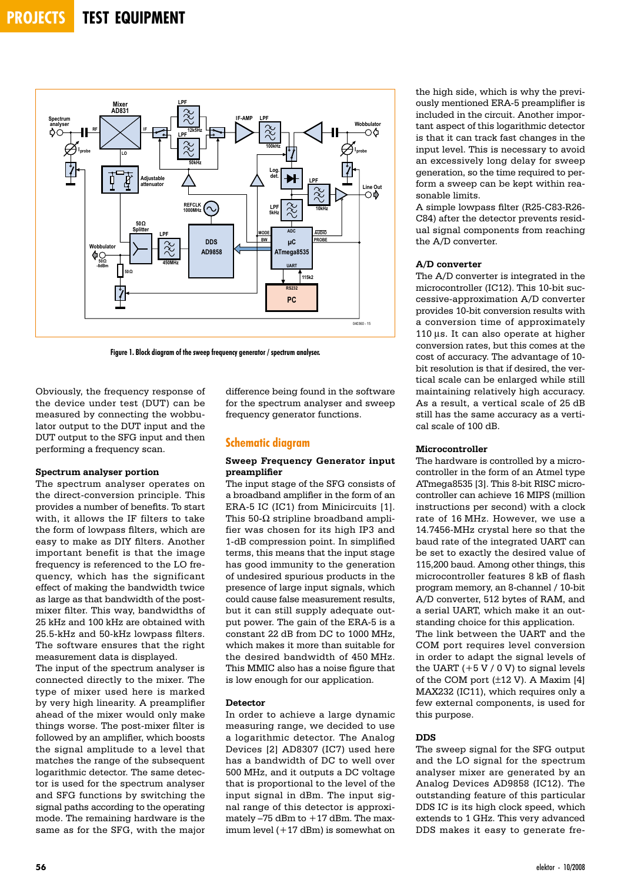

**Figure 1. Block diagram of the sweep frequency generator / spectrum analyser.**

Obviously, the frequency response of the device under test (DUT) can be measured by connecting the wobbulator output to the DUT input and the DUT output to the SFG input and then performing a frequency scan.

#### **Spectrum analyser portion**

The spectrum analyser operates on the direct-conversion principle. This provides a number of benefits. To start with, it allows the IF filters to take the form of lowpass filters, which are easy to make as DIY filters. Another important benefit is that the image frequency is referenced to the LO frequency, which has the significant effect of making the bandwidth twice as large as that bandwidth of the postmixer filter. This way, bandwidths of 25 kHz and 100 kHz are obtained with 25.5-kHz and 50-kHz lowpass filters. The software ensures that the right measurement data is displayed.

The input of the spectrum analyser is connected directly to the mixer. The type of mixer used here is marked by very high linearity. A preamplifier ahead of the mixer would only make things worse. The post-mixer filter is followed by an amplifier, which boosts the signal amplitude to a level that matches the range of the subsequent logarithmic detector. The same detector is used for the spectrum analyser and SFG functions by switching the signal paths according to the operating mode. The remaining hardware is the same as for the SFG, with the major

difference being found in the software for the spectrum analyser and sweep frequency generator functions.

#### **Schematic diagram**

#### **Sweep Frequency Generator input preamplifier**

The input stage of the SFG consists of a broadband amplifier in the form of an ERA-5 IC (IC1) from Minicircuits [1]. This 50- $\Omega$  stripline broadband amplifier was chosen for its high IP3 and 1-dB compression point. In simplified terms, this means that the input stage has good immunity to the generation of undesired spurious products in the presence of large input signals, which could cause false measurement results, but it can still supply adequate output power. The gain of the ERA-5 is a constant 22 dB from DC to 1000 MHz, which makes it more than suitable for the desired bandwidth of 450 MHz. This MMIC also has a noise figure that is low enough for our application.

#### **Detector**

In order to achieve a large dynamic measuring range, we decided to use a logarithmic detector. The Analog Devices [2] AD8307 (IC7) used here has a bandwidth of DC to well over 500 MHz, and it outputs a DC voltage that is proportional to the level of the input signal in dBm. The input signal range of this detector is approximately  $-75$  dBm to  $+17$  dBm. The maximum level (+17 dBm) is somewhat on

the high side, which is why the previously mentioned ERA-5 preamplifier is included in the circuit. Another important aspect of this logarithmic detector is that it can track fast changes in the input level. This is necessary to avoid an excessively long delay for sweep generation, so the time required to perform a sweep can be kept within reasonable limits.

A simple lowpass filter (R25-C83-R26- C84) after the detector prevents residual signal components from reaching the A/D converter.

#### **A/D converter**

The A/D converter is integrated in the microcontroller (IC12). This 10-bit successive-approximation A/D converter provides 10-bit conversion results with a conversion time of approximately 110 µs. It can also operate at higher conversion rates, but this comes at the cost of accuracy. The advantage of 10 bit resolution is that if desired, the vertical scale can be enlarged while still maintaining relatively high accuracy. As a result, a vertical scale of 25 dB still has the same accuracy as a vertical scale of 100 dB.

#### **Microcontroller**

The hardware is controlled by a microcontroller in the form of an Atmel type ATmega8535 [3]. This 8-bit RISC microcontroller can achieve 16 MIPS (million instructions per second) with a clock rate of 16 MHz. However, we use a 14.7456-MHz crystal here so that the baud rate of the integrated UART can be set to exactly the desired value of 115,200 baud. Among other things, this microcontroller features 8 kB of flash program memory, an 8-channel / 10-bit A/D converter, 512 bytes of RAM, and a serial UART, which make it an outstanding choice for this application. The link between the UART and the COM port requires level conversion in order to adapt the signal levels of the UART  $(+5 V / 0 V)$  to signal levels of the COM port  $(\pm 12 \text{ V})$ . A Maxim [4] MAX232 (IC11), which requires only a few external components, is used for this purpose.

#### **DDS**

The sweep signal for the SFG output and the LO signal for the spectrum analyser mixer are generated by an Analog Devices AD9858 (IC12). The outstanding feature of this particular DDS IC is its high clock speed, which extends to 1 GHz. This very advanced DDS makes it easy to generate fre-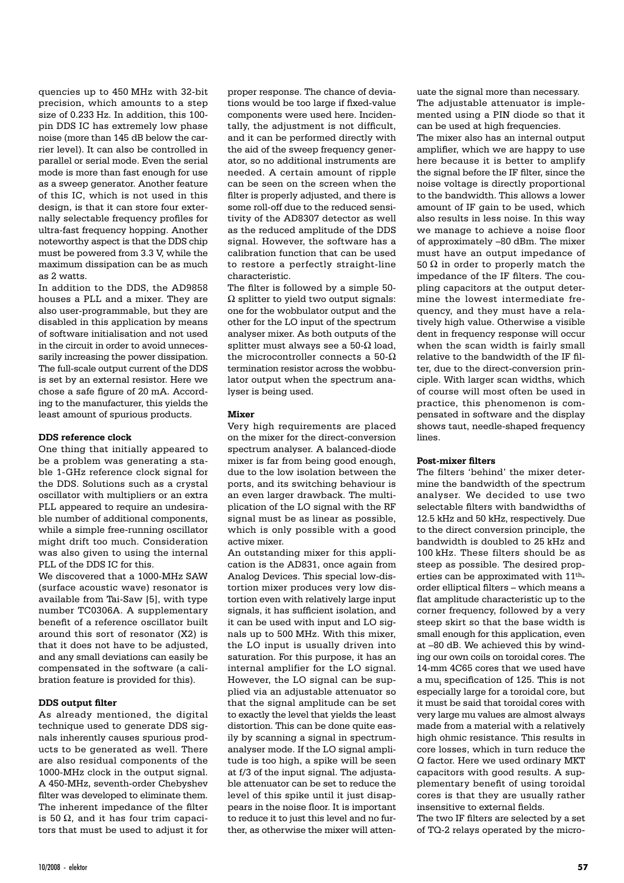quencies up to 450 MHz with 32-bit precision, which amounts to a step size of 0.233 Hz. In addition, this 100 pin DDS IC has extremely low phase noise (more than 145 dB below the carrier level). It can also be controlled in parallel or serial mode. Even the serial mode is more than fast enough for use as a sweep generator. Another feature of this IC, which is not used in this design, is that it can store four externally selectable frequency profiles for ultra-fast frequency hopping. Another noteworthy aspect is that the DDS chip must be powered from 3.3 V, while the maximum dissipation can be as much as 2 watts.

In addition to the DDS, the AD9858 houses a PLL and a mixer. They are also user-programmable, but they are disabled in this application by means of software initialisation and not used in the circuit in order to avoid unnecessarily increasing the power dissipation. The full-scale output current of the DDS is set by an external resistor. Here we chose a safe figure of 20 mA. According to the manufacturer, this yields the least amount of spurious products.

#### **DDS reference clock**

One thing that initially appeared to be a problem was generating a stable 1-GHz reference clock signal for the DDS. Solutions such as a crystal oscillator with multipliers or an extra PLL appeared to require an undesirable number of additional components, while a simple free-running oscillator might drift too much. Consideration was also given to using the internal PLL of the DDS IC for this.

We discovered that a 1000-MHz SAW (surface acoustic wave) resonator is available from Tai-Saw [5], with type number TC0306A. A supplementary benefit of a reference oscillator built around this sort of resonator (X2) is that it does not have to be adjusted, and any small deviations can easily be compensated in the software (a calibration feature is provided for this).

#### **DDS output filter**

As already mentioned, the digital technique used to generate DDS signals inherently causes spurious products to be generated as well. There are also residual components of the 1000-MHz clock in the output signal. A 450-MHz, seventh-order Chebyshev filter was developed to eliminate them. The inherent impedance of the filter is 50  $\Omega$ , and it has four trim capacitors that must be used to adjust it for

proper response. The chance of deviations would be too large if fixed-value components were used here. Incidentally, the adjustment is not difficult, and it can be performed directly with the aid of the sweep frequency generator, so no additional instruments are needed. A certain amount of ripple can be seen on the screen when the filter is properly adjusted, and there is some roll-off due to the reduced sensitivity of the AD8307 detector as well as the reduced amplitude of the DDS signal. However, the software has a calibration function that can be used to restore a perfectly straight-line characteristic.

The filter is followed by a simple 50-  $\Omega$  splitter to yield two output signals: one for the wobbulator output and the other for the LO input of the spectrum analyser mixer. As both outputs of the splitter must always see a 50- $\Omega$  load. the microcontroller connects a 50- $\Omega$ termination resistor across the wobbulator output when the spectrum analyser is being used.

#### **Mixer**

Very high requirements are placed on the mixer for the direct-conversion spectrum analyser. A balanced-diode mixer is far from being good enough, due to the low isolation between the ports, and its switching behaviour is an even larger drawback. The multiplication of the LO signal with the RF signal must be as linear as possible. which is only possible with a good active mixer.

An outstanding mixer for this application is the AD831, once again from Analog Devices. This special low-distortion mixer produces very low distortion even with relatively large input signals, it has sufficient isolation, and it can be used with input and LO signals up to 500 MHz. With this mixer, the LO input is usually driven into saturation. For this purpose, it has an internal amplifier for the LO signal. However, the LO signal can be supplied via an adjustable attenuator so that the signal amplitude can be set to exactly the level that yields the least distortion. This can be done quite easily by scanning a signal in spectrumanalyser mode. If the LO signal amplitude is too high, a spike will be seen at f/3 of the input signal. The adjustable attenuator can be set to reduce the level of this spike until it just disappears in the noise floor. It is important to reduce it to just this level and no further, as otherwise the mixer will attenuate the signal more than necessary. The adjustable attenuator is implemented using a PIN diode so that it can be used at high frequencies.

The mixer also has an internal output amplifier, which we are happy to use here because it is better to amplify the signal before the IF filter, since the noise voltage is directly proportional to the bandwidth. This allows a lower amount of IF gain to be used, which also results in less noise. In this way we manage to achieve a noise floor of approximately –80 dBm. The mixer must have an output impedance of 50  $\Omega$  in order to properly match the impedance of the IF filters. The coupling capacitors at the output determine the lowest intermediate frequency, and they must have a relatively high value. Otherwise a visible dent in frequency response will occur when the scan width is fairly small relative to the bandwidth of the IF filter, due to the direct-conversion principle. With larger scan widths, which of course will most often be used in practice, this phenomenon is compensated in software and the display shows taut, needle-shaped frequency lines.

#### **Post-mixer filters**

The filters 'behind' the mixer determine the bandwidth of the spectrum analyser. We decided to use two selectable filters with bandwidths of 12.5 kHz and 50 kHz, respectively. Due to the direct conversion principle, the bandwidth is doubled to 25 kHz and 100 kHz. These filters should be as steep as possible. The desired properties can be approximated with 11thorder elliptical filters – which means a flat amplitude characteristic up to the corner frequency, followed by a very steep skirt so that the base width is small enough for this application, even at –80 dB. We achieved this by winding our own coils on toroidal cores. The 14-mm 4C65 cores that we used have a  $\operatorname{mu_{i}}$  specification of 125. This is not especially large for a toroidal core, but it must be said that toroidal cores with very large mu values are almost always made from a material with a relatively high ohmic resistance. This results in core losses, which in turn reduce the *Q* factor. Here we used ordinary MKT capacitors with good results. A supplementary benefit of using toroidal cores is that they are usually rather insensitive to external fields.

The two IF filters are selected by a set of TQ-2 relays operated by the micro-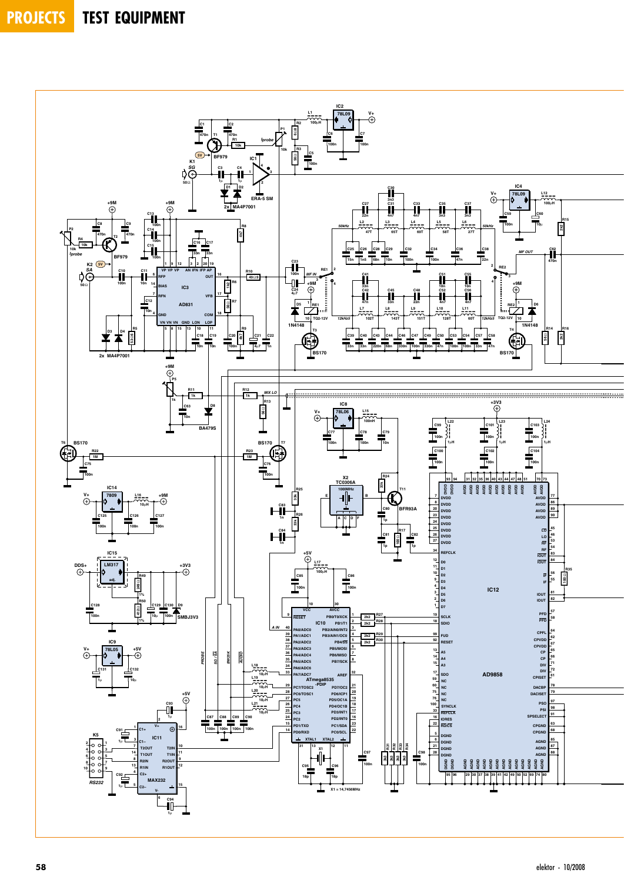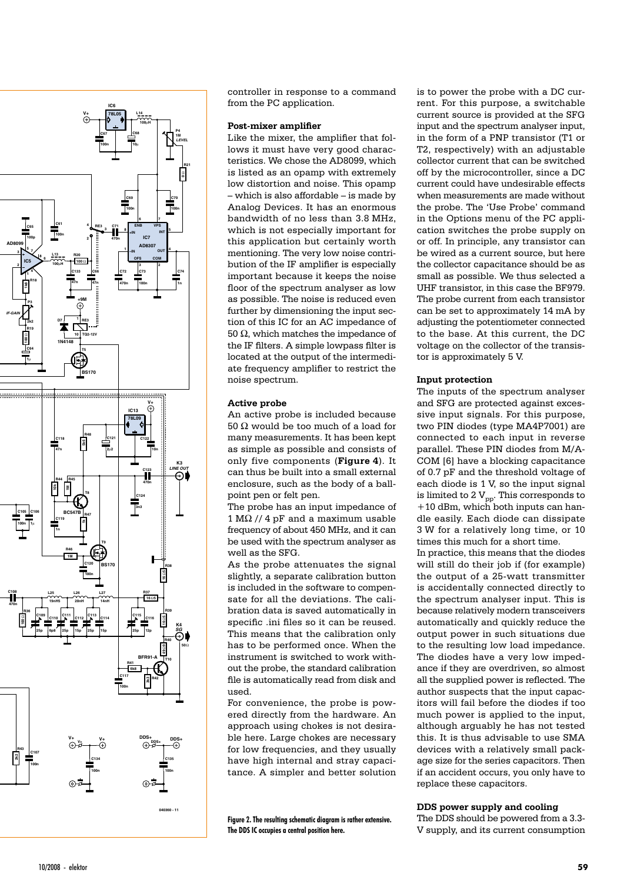

controller in response to a command from the PC application.

#### **Post-mixer amplifier**

Like the mixer, the amplifier that follows it must have very good characteristics. We chose the AD8099, which is listed as an opamp with extremely low distortion and noise. This opamp – which is also affordable – is made by Analog Devices. It has an enormous bandwidth of no less than 3.8 MHz, which is not especially important for this application but certainly worth mentioning. The very low noise contribution of the IF amplifier is especially important because it keeps the noise floor of the spectrum analyser as low as possible. The noise is reduced even further by dimensioning the input section of this IC for an AC impedance of 50  $Ω$ , which matches the impedance of the IF filters. A simple lowpass filter is located at the output of the intermediate frequency amplifier to restrict the noise spectrum.

#### **Active probe**

An active probe is included because 50 Ω would be too much of a load for many measurements. It has been kept as simple as possible and consists of only five components (**Figure 4**). It can thus be built into a small external enclosure, such as the body of a ballpoint pen or felt pen.

The probe has an input impedance of  $1 M\Omega$  // 4 pF and a maximum usable frequency of about 450 MHz, and it can be used with the spectrum analyser as well as the SFG.

As the probe attenuates the signal slightly, a separate calibration button is included in the software to compensate for all the deviations. The calibration data is saved automatically in specific .ini files so it can be reused. This means that the calibration only has to be performed once. When the instrument is switched to work without the probe, the standard calibration file is automatically read from disk and used.

For convenience, the probe is powered directly from the hardware. An approach using chokes is not desirable here. Large chokes are necessary for low frequencies, and they usually have high internal and stray capacitance. A simpler and better solution

**Figure 2. The resulting schematic diagram is rather extensive. The DDS IC occupies a central position here.**

is to power the probe with a DC current. For this purpose, a switchable current source is provided at the SFG input and the spectrum analyser input, in the form of a PNP transistor (T1 or T2, respectively) with an adjustable collector current that can be switched off by the microcontroller, since a DC current could have undesirable effects when measurements are made without the probe. The 'Use Probe' command in the Options menu of the PC application switches the probe supply on or off. In principle, any transistor can be wired as a current source, but here the collector capacitance should be as small as possible. We thus selected a UHF transistor, in this case the BF979. The probe current from each transistor can be set to approximately 14 mA by adjusting the potentiometer connected to the base. At this current, the DC voltage on the collector of the transistor is approximately 5 V.

#### **Input protection**

The inputs of the spectrum analyser and SFG are protected against excessive input signals. For this purpose, two PIN diodes (type MA4P7001) are connected to each input in reverse parallel. These PIN diodes from M/A-COM [6] have a blocking capacitance of 0.7 pF and the threshold voltage of each diode is 1 V, so the input signal is limited to 2  $V_{\text{pp}}$ . This corresponds to +10 dBm, which both inputs can handle easily. Each diode can dissipate 3 W for a relatively long time, or 10 times this much for a short time. In practice, this means that the diodes will still do their job if (for example) the output of a 25-watt transmitter is accidentally connected directly to the spectrum analyser input. This is because relatively modern transceivers automatically and quickly reduce the output power in such situations due to the resulting low load impedance. The diodes have a very low impedance if they are overdriven, so almost all the supplied power is reflected. The author suspects that the input capacitors will fail before the diodes if too much power is applied to the input, although arguably he has not tested this. It is thus advisable to use SMA devices with a relatively small package size for the series capacitors. Then if an accident occurs, you only have to replace these capacitors.

#### **DDS power supply and cooling**

The DDS should be powered from a 3.3- V supply, and its current consumption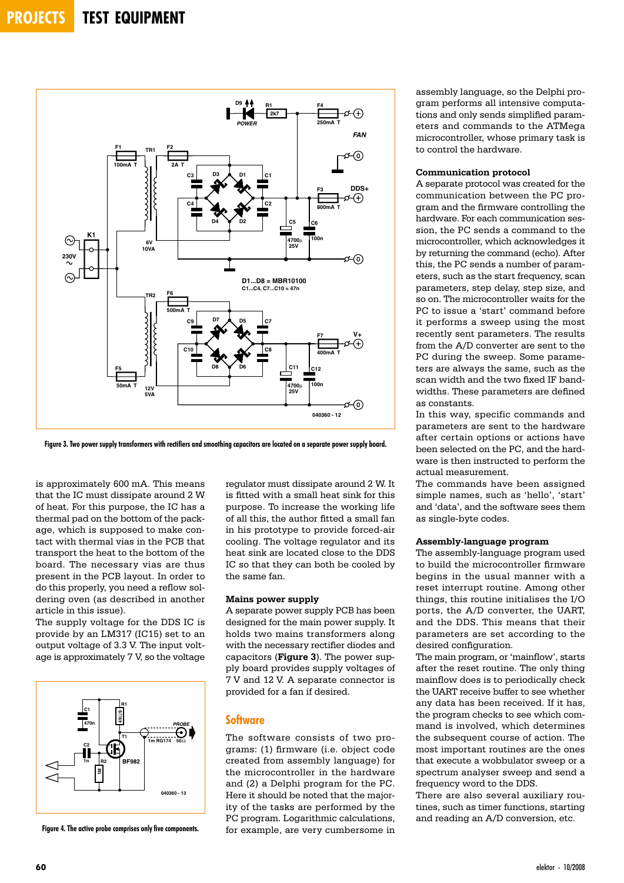

**Figure 3. Two power supply transformers with rectifiers and smoothing capacitors are located on a separate power supply board.**

is approximately 600 mA. This means that the IC must dissipate around 2 W of heat. For this purpose, the IC has a thermal pad on the bottom of the package, which is supposed to make contact with thermal vias in the PCB that transport the heat to the bottom of the board. The necessary vias are thus present in the PCB layout. In order to do this properly, you need a reflow soldering oven (as described in another article in this issue).

The supply voltage for the DDS IC is provide by an LM317 (IC15) set to an output voltage of 3.3 V. The input voltage is approximately 7 V, so the voltage



**Figure 4. The active probe comprises only five components.**

regulator must dissipate around 2 W. It is fitted with a small heat sink for this purpose. To increase the working life of all this, the author fitted a small fan in his prototype to provide forced-air cooling. The voltage regulator and its heat sink are located close to the DDS IC so that they can both be cooled by the same fan.

#### **Mains power supply**

A separate power supply PCB has been designed for the main power supply. It holds two mains transformers along with the necessary rectifier diodes and capacitors (**Figure 3**). The power supply board provides supply voltages of 7 V and 12 V. A separate connector is provided for a fan if desired.

#### **Software**

The software consists of two programs: (1) firmware (i.e. object code created from assembly language) for the microcontroller in the hardware and (2) a Delphi program for the PC. Here it should be noted that the majority of the tasks are performed by the PC program. Logarithmic calculations, for example, are very cumbersome in

assembly language, so the Delphi program performs all intensive computations and only sends simplified parameters and commands to the ATMega microcontroller, whose primary task is to control the hardware.

#### **Communication protocol**

A separate protocol was created for the communication between the PC program and the firmware controlling the hardware. For each communication session, the PC sends a command to the microcontroller, which acknowledges it by returning the command (echo). After this, the PC sends a number of parameters, such as the start frequency, scan parameters, step delay, step size, and so on. The microcontroller waits for the PC to issue a 'start' command before it performs a sweep using the most recently sent parameters. The results from the A/D converter are sent to the PC during the sweep. Some parameters are always the same, such as the scan width and the two fixed IF bandwidths. These parameters are defined as constants.

In this way, specific commands and parameters are sent to the hardware after certain options or actions have been selected on the PC, and the hardware is then instructed to perform the actual measurement.

The commands have been assigned simple names, such as 'hello', 'start' and 'data', and the software sees them as single-byte codes.

#### **Assembly-language program**

The assembly-language program used to build the microcontroller firmware begins in the usual manner with a reset interrupt routine. Among other things, this routine initialises the I/O ports, the A/D converter, the UART, and the DDS. This means that their parameters are set according to the desired configuration.

The main program, or 'mainflow', starts after the reset routine. The only thing mainflow does is to periodically check the UART receive buffer to see whether any data has been received. If it has, the program checks to see which command is involved, which determines the subsequent course of action. The most important routines are the ones that execute a wobbulator sweep or a spectrum analyser sweep and send a frequency word to the DDS.

There are also several auxiliary routines, such as timer functions, starting and reading an A/D conversion, etc.